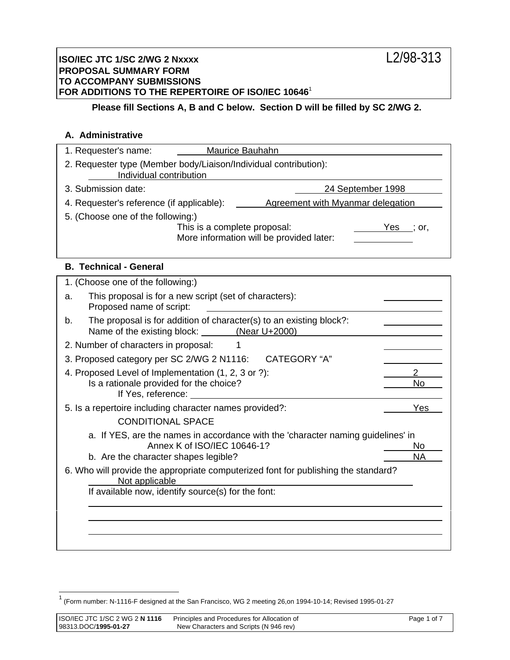## **Please fill Sections A, B and C below. Section D will be filled by SC 2/WG 2.**

## **A. Administrative**

| 1. Requester's name:                                                                                 | <b>Maurice Bauhahn</b>       |                                                                                  |                   |
|------------------------------------------------------------------------------------------------------|------------------------------|----------------------------------------------------------------------------------|-------------------|
| 2. Requester type (Member body/Liaison/Individual contribution):<br>Individual contribution          |                              |                                                                                  |                   |
| 3. Submission date:                                                                                  |                              |                                                                                  | 24 September 1998 |
| 4. Requester's reference (if applicable):                                                            |                              | Agreement with Myanmar delegation                                                |                   |
| 5. (Choose one of the following:)                                                                    |                              |                                                                                  |                   |
|                                                                                                      | This is a complete proposal: | More information will be provided later:                                         | $Yes$ ; or,       |
| <b>B. Technical - General</b>                                                                        |                              |                                                                                  |                   |
| 1. (Choose one of the following:)                                                                    |                              |                                                                                  |                   |
| This proposal is for a new script (set of characters):<br>a.<br>Proposed name of script:             |                              |                                                                                  |                   |
| b.<br>Name of the existing block: (Near U+2000)                                                      |                              | The proposal is for addition of character(s) to an existing block?:              |                   |
| 2. Number of characters in proposal:                                                                 | 1                            |                                                                                  |                   |
| 3. Proposed category per SC 2/WG 2 N1116:                                                            |                              | <b>CATEGORY "A"</b>                                                              |                   |
| 4. Proposed Level of Implementation (1, 2, 3 or ?):                                                  |                              |                                                                                  | $\overline{2}$    |
| Is a rationale provided for the choice?<br>If Yes, reference:                                        |                              |                                                                                  | <b>No</b>         |
| 5. Is a repertoire including character names provided?:                                              |                              |                                                                                  | Yes               |
| <b>CONDITIONAL SPACE</b>                                                                             |                              |                                                                                  |                   |
|                                                                                                      |                              | a. If YES, are the names in accordance with the 'character naming guidelines' in |                   |
| b. Are the character shapes legible?                                                                 | Annex K of ISO/IEC 10646-1?  |                                                                                  | No<br><b>NA</b>   |
| 6. Who will provide the appropriate computerized font for publishing the standard?<br>Not applicable |                              |                                                                                  |                   |
| If available now, identify source(s) for the font:                                                   |                              |                                                                                  |                   |
|                                                                                                      |                              |                                                                                  |                   |
|                                                                                                      |                              |                                                                                  |                   |
|                                                                                                      |                              |                                                                                  |                   |

 1 (Form number: N-1116-F designed at the San Francisco, WG 2 meeting 26,on 1994-10-14; Revised 1995-01-27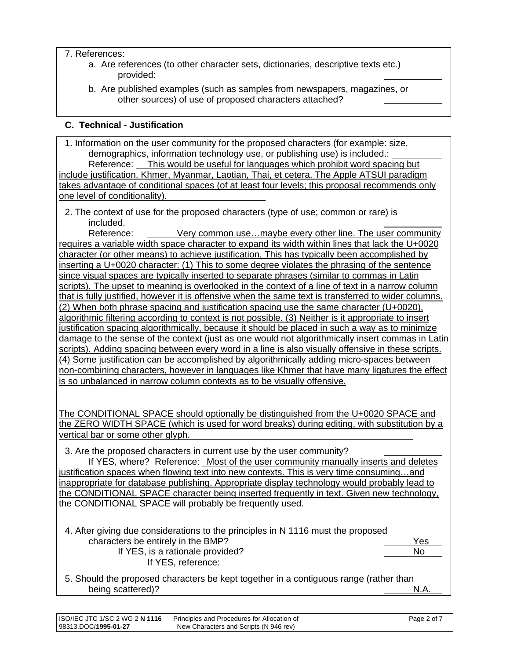## 7. References:

 $\overline{a}$ 

- a. Are references (to other character sets, dictionaries, descriptive texts etc.) provided:
- b. Are published examples (such as samples from newspapers, magazines, or other sources) of use of proposed characters attached?

# **C. Technical - Justification**

1. Information on the user community for the proposed characters (for example: size, demographics, information technology use, or publishing use) is included.: Reference: This would be useful for languages which prohibit word spacing but include justification. Khmer, Myanmar, Laotian, Thai, et cetera. The Apple ATSUI paradigm takes advantage of conditional spaces (of at least four levels; this proposal recommends only one level of conditionality).

2. The context of use for the proposed characters (type of use; common or rare) is included.

Reference: Very common use...maybe every other line. The user community requires a variable width space character to expand its width within lines that lack the U+0020 character (or other means) to achieve justification. This has typically been accomplished by inserting a U+0020 character: (1) This to some degree violates the phrasing of the sentence since visual spaces are typically inserted to separate phrases (similar to commas in Latin scripts). The upset to meaning is overlooked in the context of a line of text in a narrow column that is fully justified, however it is offensive when the same text is transferred to wider columns. (2) When both phrase spacing and justification spacing use the same character (U+0020), algorithmic filtering according to context is not possible. (3) Neither is it appropriate to insert justification spacing algorithmically, because it should be placed in such a way as to minimize damage to the sense of the context (just as one would not algorithmically insert commas in Latin scripts). Adding spacing between every word in a line is also visually offensive in these scripts. (4) Some justification can be accomplished by algorithmically adding micro-spaces between non-combining characters, however in languages like Khmer that have many ligatures the effect is so unbalanced in narrow column contexts as to be visually offensive.

The CONDITIONAL SPACE should optionally be distinguished from the U+0020 SPACE and the ZERO WIDTH SPACE (which is used for word breaks) during editing, with substitution by a vertical bar or some other glyph.

3. Are the proposed characters in current use by the user community?

If YES, where? Reference: Most of the user community manually inserts and deletes justification spaces when flowing text into new contexts. This is very time consuming…and inappropriate for database publishing. Appropriate display technology would probably lead to the CONDITIONAL SPACE character being inserted frequently in text. Given new technology, the CONDITIONAL SPACE will probably be frequently used.

4. After giving due considerations to the principles in N 1116 must the proposed characters be entirely in the BMP? The characters of the Yes If YES, is a rationale provided? No If YES, reference:

5. Should the proposed characters be kept together in a contiguous range (rather than being scattered)? N.A.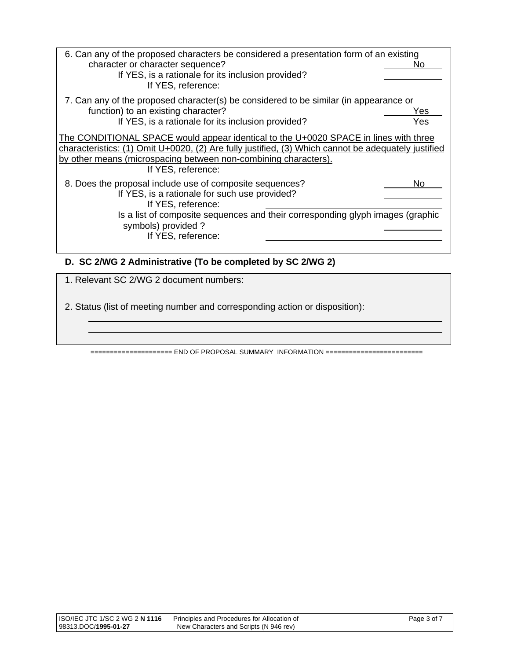| 6. Can any of the proposed characters be considered a presentation form of an existing<br>character or character sequence?<br>If YES, is a rationale for its inclusion provided?<br>If YES, reference:                                                                               | No.        |
|--------------------------------------------------------------------------------------------------------------------------------------------------------------------------------------------------------------------------------------------------------------------------------------|------------|
| 7. Can any of the proposed character(s) be considered to be similar (in appearance or<br>function) to an existing character?<br>If YES, is a rationale for its inclusion provided?                                                                                                   | Yes<br>Yes |
| The CONDITIONAL SPACE would appear identical to the U+0020 SPACE in lines with three<br>characteristics: (1) Omit U+0020, (2) Are fully justified, (3) Which cannot be adequately justified<br>by other means (microspacing between non-combining characters).<br>If YES, reference: |            |
| 8. Does the proposal include use of composite sequences?<br>If YES, is a rationale for such use provided?<br>If YES, reference:<br>Is a list of composite sequences and their corresponding glyph images (graphic<br>symbols) provided?<br>If YES, reference:                        | No         |

## **D. SC 2/WG 2 Administrative (To be completed by SC 2/WG 2)**

1. Relevant SC 2/WG 2 document numbers:

 $\overline{a}$ 

 $\overline{a}$  $\overline{a}$ 

2. Status (list of meeting number and corresponding action or disposition):

===================== END OF PROPOSAL SUMMARY INFORMATION =========================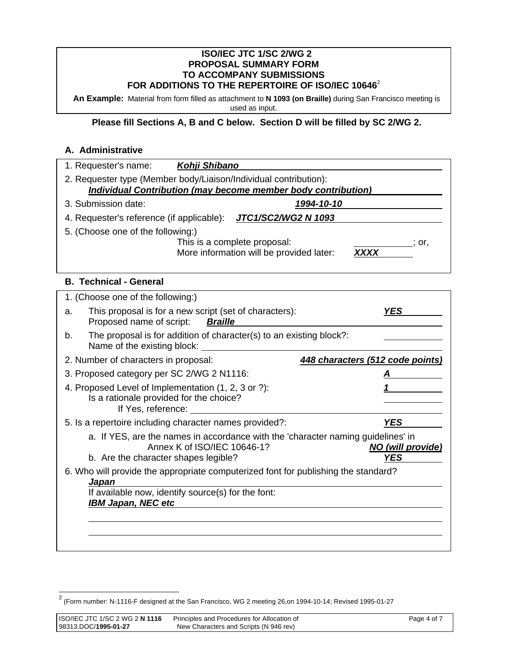#### **ISO/IEC JTC 1/SC 2/WG 2 PROPOSAL SUMMARY FORM TO ACCOMPANY SUBMISSIONS FOR ADDITIONS TO THE REPERTOIRE OF ISO/IEC 10646**<sup>2</sup>

**An Example:** Material from form filled as attachment to **N 1093 (on Braille)** during San Francisco meeting is used as input.

# **Please fill Sections A, B and C below. Section D will be filled by SC 2/WG 2.**

### **A. Administrative**

| 2. Requester type (Member body/Liaison/Individual contribution):<br><b>Individual Contribution (may become member body contribution)</b><br>3. Submission date:<br>1994-10-10<br>JTC1/SC2/WG2 N 1093<br>4. Requester's reference (if applicable):<br>5. (Choose one of the following:)<br>This is a complete proposal:<br>$\therefore$ or,<br><b>XXXX</b><br>More information will be provided later:<br><b>B. Technical - General</b><br>1. (Choose one of the following:)<br>This proposal is for a new script (set of characters):<br><b>YES</b><br>a.<br>Proposed name of script:<br><b>Braille</b><br>The proposal is for addition of character(s) to an existing block?:<br>b.<br>Name of the existing block:<br>2. Number of characters in proposal:<br>448 characters (512 code points)<br>3. Proposed category per SC 2/WG 2 N1116:<br>4. Proposed Level of Implementation (1, 2, 3 or ?):<br>Is a rationale provided for the choice?<br>If Yes, reference:<br>5. Is a repertoire including character names provided?:<br><b>YES</b><br>a. If YES, are the names in accordance with the 'character naming guidelines' in<br>Annex K of ISO/IEC 10646-1?<br>NO (will provide)<br><b>YES</b><br>b. Are the character shapes legible?<br>6. Who will provide the appropriate computerized font for publishing the standard?<br>Japan<br>If available now, identify source(s) for the font:<br><b>IBM Japan, NEC etc</b> | 1. Requester's name: | Kohji Shibano |  |
|-------------------------------------------------------------------------------------------------------------------------------------------------------------------------------------------------------------------------------------------------------------------------------------------------------------------------------------------------------------------------------------------------------------------------------------------------------------------------------------------------------------------------------------------------------------------------------------------------------------------------------------------------------------------------------------------------------------------------------------------------------------------------------------------------------------------------------------------------------------------------------------------------------------------------------------------------------------------------------------------------------------------------------------------------------------------------------------------------------------------------------------------------------------------------------------------------------------------------------------------------------------------------------------------------------------------------------------------------------------------------------------------------------------------------------|----------------------|---------------|--|
|                                                                                                                                                                                                                                                                                                                                                                                                                                                                                                                                                                                                                                                                                                                                                                                                                                                                                                                                                                                                                                                                                                                                                                                                                                                                                                                                                                                                                               |                      |               |  |
|                                                                                                                                                                                                                                                                                                                                                                                                                                                                                                                                                                                                                                                                                                                                                                                                                                                                                                                                                                                                                                                                                                                                                                                                                                                                                                                                                                                                                               |                      |               |  |
|                                                                                                                                                                                                                                                                                                                                                                                                                                                                                                                                                                                                                                                                                                                                                                                                                                                                                                                                                                                                                                                                                                                                                                                                                                                                                                                                                                                                                               |                      |               |  |
|                                                                                                                                                                                                                                                                                                                                                                                                                                                                                                                                                                                                                                                                                                                                                                                                                                                                                                                                                                                                                                                                                                                                                                                                                                                                                                                                                                                                                               |                      |               |  |
|                                                                                                                                                                                                                                                                                                                                                                                                                                                                                                                                                                                                                                                                                                                                                                                                                                                                                                                                                                                                                                                                                                                                                                                                                                                                                                                                                                                                                               |                      |               |  |
|                                                                                                                                                                                                                                                                                                                                                                                                                                                                                                                                                                                                                                                                                                                                                                                                                                                                                                                                                                                                                                                                                                                                                                                                                                                                                                                                                                                                                               |                      |               |  |
|                                                                                                                                                                                                                                                                                                                                                                                                                                                                                                                                                                                                                                                                                                                                                                                                                                                                                                                                                                                                                                                                                                                                                                                                                                                                                                                                                                                                                               |                      |               |  |
|                                                                                                                                                                                                                                                                                                                                                                                                                                                                                                                                                                                                                                                                                                                                                                                                                                                                                                                                                                                                                                                                                                                                                                                                                                                                                                                                                                                                                               |                      |               |  |
|                                                                                                                                                                                                                                                                                                                                                                                                                                                                                                                                                                                                                                                                                                                                                                                                                                                                                                                                                                                                                                                                                                                                                                                                                                                                                                                                                                                                                               |                      |               |  |
|                                                                                                                                                                                                                                                                                                                                                                                                                                                                                                                                                                                                                                                                                                                                                                                                                                                                                                                                                                                                                                                                                                                                                                                                                                                                                                                                                                                                                               |                      |               |  |
|                                                                                                                                                                                                                                                                                                                                                                                                                                                                                                                                                                                                                                                                                                                                                                                                                                                                                                                                                                                                                                                                                                                                                                                                                                                                                                                                                                                                                               |                      |               |  |
|                                                                                                                                                                                                                                                                                                                                                                                                                                                                                                                                                                                                                                                                                                                                                                                                                                                                                                                                                                                                                                                                                                                                                                                                                                                                                                                                                                                                                               |                      |               |  |
|                                                                                                                                                                                                                                                                                                                                                                                                                                                                                                                                                                                                                                                                                                                                                                                                                                                                                                                                                                                                                                                                                                                                                                                                                                                                                                                                                                                                                               |                      |               |  |
|                                                                                                                                                                                                                                                                                                                                                                                                                                                                                                                                                                                                                                                                                                                                                                                                                                                                                                                                                                                                                                                                                                                                                                                                                                                                                                                                                                                                                               |                      |               |  |
|                                                                                                                                                                                                                                                                                                                                                                                                                                                                                                                                                                                                                                                                                                                                                                                                                                                                                                                                                                                                                                                                                                                                                                                                                                                                                                                                                                                                                               |                      |               |  |
|                                                                                                                                                                                                                                                                                                                                                                                                                                                                                                                                                                                                                                                                                                                                                                                                                                                                                                                                                                                                                                                                                                                                                                                                                                                                                                                                                                                                                               |                      |               |  |
|                                                                                                                                                                                                                                                                                                                                                                                                                                                                                                                                                                                                                                                                                                                                                                                                                                                                                                                                                                                                                                                                                                                                                                                                                                                                                                                                                                                                                               |                      |               |  |
|                                                                                                                                                                                                                                                                                                                                                                                                                                                                                                                                                                                                                                                                                                                                                                                                                                                                                                                                                                                                                                                                                                                                                                                                                                                                                                                                                                                                                               |                      |               |  |

 2 (Form number: N-1116-F designed at the San Francisco, WG 2 meeting 26,on 1994-10-14; Revised 1995-01-27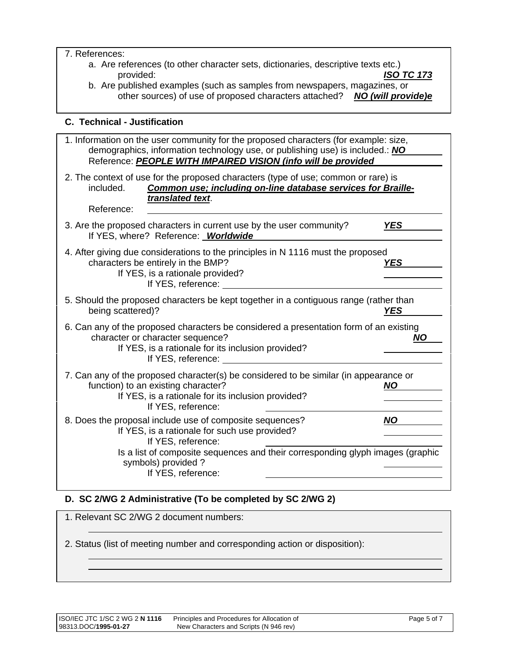#### 7. References:

- a. Are references (to other character sets, dictionaries, descriptive texts etc.) provided: *ISO TC 173*
- b. Are published examples (such as samples from newspapers, magazines, or other sources) of use of proposed characters attached? **NO (will provide)e**

## **C. Technical - Justification**

| 1. Information on the user community for the proposed characters (for example: size,<br>demographics, information technology use, or publishing use) is included.: NO<br>Reference: PEOPLE WITH IMPAIRED VISION (info will be provided |            |
|----------------------------------------------------------------------------------------------------------------------------------------------------------------------------------------------------------------------------------------|------------|
| 2. The context of use for the proposed characters (type of use; common or rare) is<br>Common use; including on-line database services for Braille-<br>included.<br>translated text.                                                    |            |
| Reference:                                                                                                                                                                                                                             |            |
| 3. Are the proposed characters in current use by the user community?<br>If YES, where? Reference: Worldwide                                                                                                                            | <b>YES</b> |
| 4. After giving due considerations to the principles in N 1116 must the proposed<br>characters be entirely in the BMP?<br>If YES, is a rationale provided?<br>If YES, reference:                                                       | <b>YES</b> |
| 5. Should the proposed characters be kept together in a contiguous range (rather than<br>being scattered)?                                                                                                                             | <b>YES</b> |
| 6. Can any of the proposed characters be considered a presentation form of an existing<br>character or character sequence?<br>If YES, is a rationale for its inclusion provided?<br>If YES, reference:                                 | <b>NO</b>  |
| 7. Can any of the proposed character(s) be considered to be similar (in appearance or<br>function) to an existing character?<br>If YES, is a rationale for its inclusion provided?<br>If YES, reference:                               | NO.        |
| 8. Does the proposal include use of composite sequences?<br>If YES, is a rationale for such use provided?<br>If YES, reference:                                                                                                        | <b>NO</b>  |
| Is a list of composite sequences and their corresponding glyph images (graphic<br>symbols) provided?<br>If YES, reference:                                                                                                             |            |

## **D. SC 2/WG 2 Administrative (To be completed by SC 2/WG 2)**

| 1. Relevant SC 2/WG 2 document numbers:                                     |
|-----------------------------------------------------------------------------|
| 2. Status (list of meeting number and corresponding action or disposition): |

 $\overline{a}$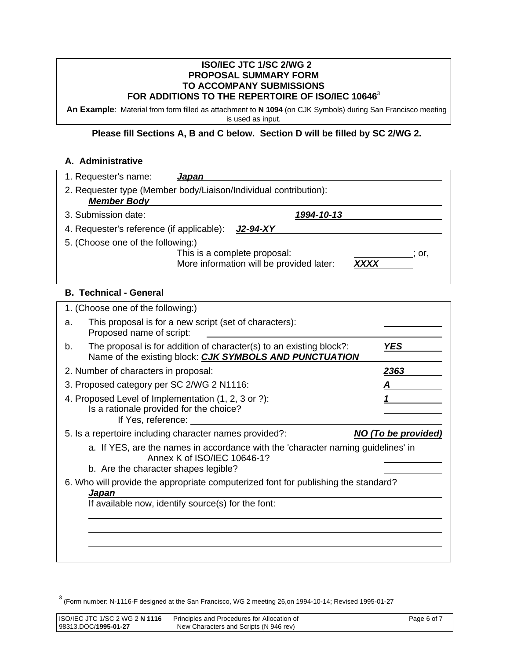#### **ISO/IEC JTC 1/SC 2/WG 2 PROPOSAL SUMMARY FORM TO ACCOMPANY SUBMISSIONS FOR ADDITIONS TO THE REPERTOIRE OF ISO/IEC 10646**<sup>3</sup>

**An Example**: Material from form filled as attachment to **N 1094** (on CJK Symbols) during San Francisco meeting is used as input.

### **Please fill Sections A, B and C below. Section D will be filled by SC 2/WG 2.**

## **A. Administrative**

|    | 1. Requester's name:<br><u>Japan</u>                                                                                                                                                                                                                                                                                             |                                 |
|----|----------------------------------------------------------------------------------------------------------------------------------------------------------------------------------------------------------------------------------------------------------------------------------------------------------------------------------|---------------------------------|
|    | 2. Requester type (Member body/Liaison/Individual contribution):<br><b>Member Body</b>                                                                                                                                                                                                                                           |                                 |
|    | 3. Submission date:<br>1994-10-13                                                                                                                                                                                                                                                                                                |                                 |
|    | 4. Requester's reference (if applicable):<br>$J2-94-XY$                                                                                                                                                                                                                                                                          |                                 |
|    | 5. (Choose one of the following:)<br>This is a complete proposal:<br>More information will be provided later:                                                                                                                                                                                                                    | $\therefore$ or,<br><b>XXXX</b> |
|    | <b>B. Technical - General</b>                                                                                                                                                                                                                                                                                                    |                                 |
|    | 1. (Choose one of the following:)                                                                                                                                                                                                                                                                                                |                                 |
| a. | This proposal is for a new script (set of characters):<br>Proposed name of script:                                                                                                                                                                                                                                               |                                 |
| b. | The proposal is for addition of character(s) to an existing block?:<br>Name of the existing block: CJK SYMBOLS AND PUNCTUATION                                                                                                                                                                                                   | <b>YES</b>                      |
|    | 2. Number of characters in proposal:                                                                                                                                                                                                                                                                                             | 2363                            |
|    | 3. Proposed category per SC 2/WG 2 N1116:                                                                                                                                                                                                                                                                                        |                                 |
|    | 4. Proposed Level of Implementation (1, 2, 3 or ?):<br>Is a rationale provided for the choice?<br>If Yes, reference: The Second Second Second Second Second Second Second Second Second Second Second Second Second Second Second Second Second Second Second Second Second Second Second Second Second Second Second Second Sec |                                 |
|    | 5. Is a repertoire including character names provided?:                                                                                                                                                                                                                                                                          | NO (To be provided)             |
|    | a. If YES, are the names in accordance with the 'character naming guidelines' in<br>Annex K of ISO/IEC 10646-1?<br>b. Are the character shapes legible?                                                                                                                                                                          |                                 |
|    |                                                                                                                                                                                                                                                                                                                                  |                                 |
|    | 6. Who will provide the appropriate computerized font for publishing the standard?<br>Japan                                                                                                                                                                                                                                      |                                 |
|    | If available now, identify source(s) for the font:                                                                                                                                                                                                                                                                               |                                 |
|    |                                                                                                                                                                                                                                                                                                                                  |                                 |
|    |                                                                                                                                                                                                                                                                                                                                  |                                 |

 3 (Form number: N-1116-F designed at the San Francisco, WG 2 meeting 26,on 1994-10-14; Revised 1995-01-27